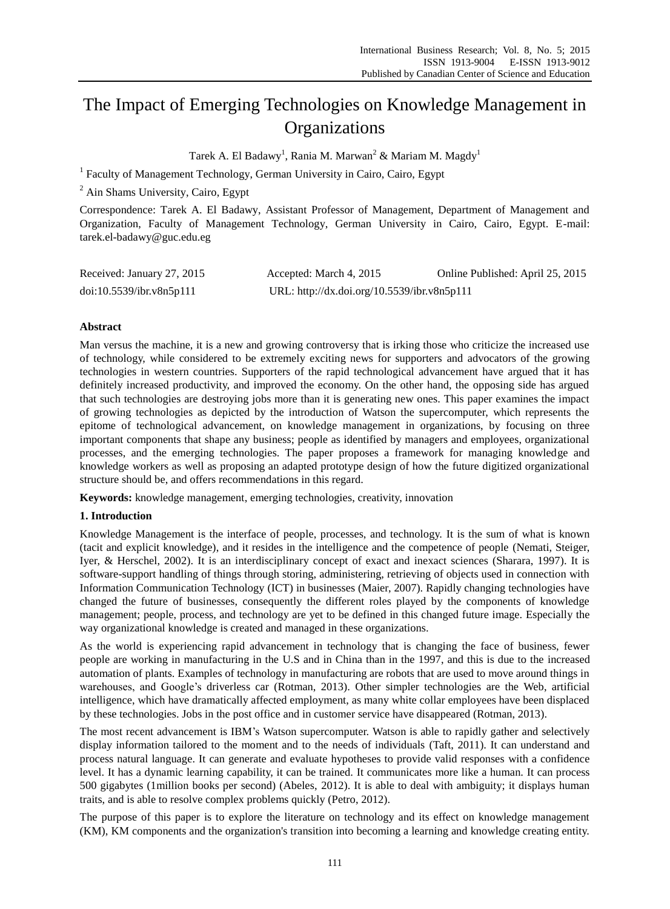# The Impact of Emerging Technologies on Knowledge Management in **Organizations**

Tarek A. El Badawy<sup>1</sup>, Rania M. Marwan<sup>2</sup> & Mariam M. Magdy<sup>1</sup>

<sup>1</sup> Faculty of Management Technology, German University in Cairo, Cairo, Egypt

<sup>2</sup> Ain Shams University, Cairo, Egypt

Correspondence: Tarek A. El Badawy, Assistant Professor of Management, Department of Management and Organization, Faculty of Management Technology, German University in Cairo, Cairo, Egypt. E-mail: tarek.el-badawy@guc.edu.eg

| Received: January 27, 2015 | Accepted: March 4, 2015                     | Online Published: April 25, 2015 |
|----------------------------|---------------------------------------------|----------------------------------|
| doi:10.5539/ibr.v8n5p111   | URL: http://dx.doi.org/10.5539/ibr.v8n5p111 |                                  |

# **Abstract**

Man versus the machine, it is a new and growing controversy that is irking those who criticize the increased use of technology, while considered to be extremely exciting news for supporters and advocators of the growing technologies in western countries. Supporters of the rapid technological advancement have argued that it has definitely increased productivity, and improved the economy. On the other hand, the opposing side has argued that such technologies are destroying jobs more than it is generating new ones. This paper examines the impact of growing technologies as depicted by the introduction of Watson the supercomputer, which represents the epitome of technological advancement, on knowledge management in organizations, by focusing on three important components that shape any business; people as identified by managers and employees, organizational processes, and the emerging technologies. The paper proposes a framework for managing knowledge and knowledge workers as well as proposing an adapted prototype design of how the future digitized organizational structure should be, and offers recommendations in this regard.

**Keywords:** knowledge management, emerging technologies, creativity, innovation

# **1. Introduction**

Knowledge Management is the interface of people, processes, and technology. It is the sum of what is known (tacit and explicit knowledge), and it resides in the intelligence and the competence of people (Nemati, Steiger, Iyer, & Herschel, 2002). It is an interdisciplinary concept of exact and inexact sciences (Sharara, 1997). It is software-support handling of things through storing, administering, retrieving of objects used in connection with Information Communication Technology (ICT) in businesses (Maier, 2007). Rapidly changing technologies have changed the future of businesses, consequently the different roles played by the components of knowledge management; people, process, and technology are yet to be defined in this changed future image. Especially the way organizational knowledge is created and managed in these organizations.

As the world is experiencing rapid advancement in technology that is changing the face of business, fewer people are working in manufacturing in the U.S and in China than in the 1997, and this is due to the increased automation of plants. Examples of technology in manufacturing are robots that are used to move around things in warehouses, and Google's driverless car (Rotman, 2013). Other simpler technologies are the Web, artificial intelligence, which have dramatically affected employment, as many white collar employees have been displaced by these technologies. Jobs in the post office and in customer service have disappeared (Rotman, 2013).

The most recent advancement is IBM's Watson supercomputer. Watson is able to rapidly gather and selectively display information tailored to the moment and to the needs of individuals (Taft, 2011). It can understand and process natural language. It can generate and evaluate hypotheses to provide valid responses with a confidence level. It has a dynamic learning capability, it can be trained. It communicates more like a human. It can process 500 gigabytes (1million books per second) (Abeles, 2012). It is able to deal with ambiguity; it displays human traits, and is able to resolve complex problems quickly (Petro, 2012).

The purpose of this paper is to explore the literature on technology and its effect on knowledge management (KM), KM components and the organization's transition into becoming a learning and knowledge creating entity.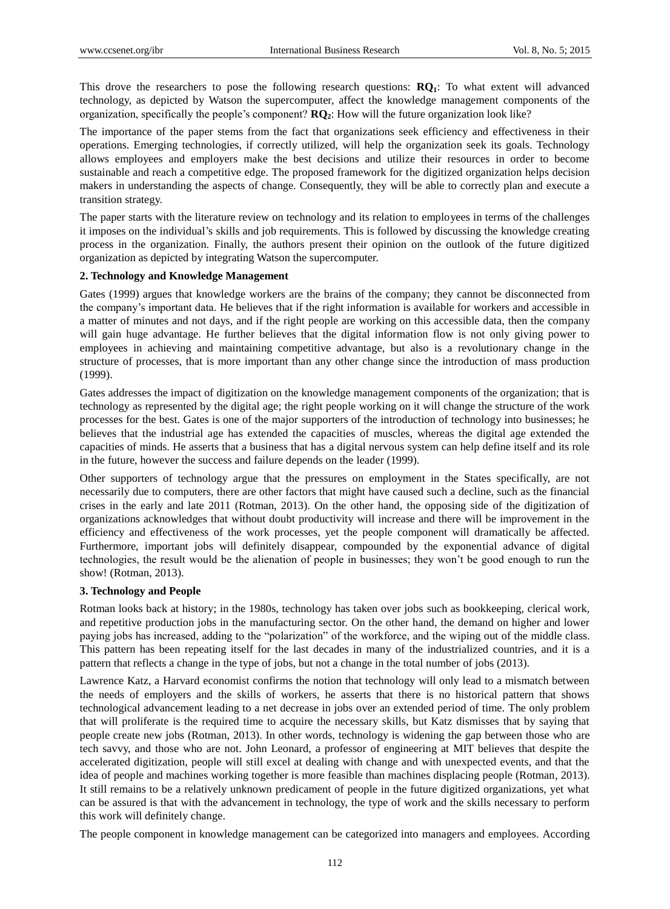This drove the researchers to pose the following research questions: **RQ1**: To what extent will advanced technology, as depicted by Watson the supercomputer, affect the knowledge management components of the organization, specifically the people's component? **RQ2**: How will the future organization look like?

The importance of the paper stems from the fact that organizations seek efficiency and effectiveness in their operations. Emerging technologies, if correctly utilized, will help the organization seek its goals. Technology allows employees and employers make the best decisions and utilize their resources in order to become sustainable and reach a competitive edge. The proposed framework for the digitized organization helps decision makers in understanding the aspects of change. Consequently, they will be able to correctly plan and execute a transition strategy.

The paper starts with the literature review on technology and its relation to employees in terms of the challenges it imposes on the individual's skills and job requirements. This is followed by discussing the knowledge creating process in the organization. Finally, the authors present their opinion on the outlook of the future digitized organization as depicted by integrating Watson the supercomputer.

## **2. Technology and Knowledge Management**

Gates (1999) argues that knowledge workers are the brains of the company; they cannot be disconnected from the company's important data. He believes that if the right information is available for workers and accessible in a matter of minutes and not days, and if the right people are working on this accessible data, then the company will gain huge advantage. He further believes that the digital information flow is not only giving power to employees in achieving and maintaining competitive advantage, but also is a revolutionary change in the structure of processes, that is more important than any other change since the introduction of mass production (1999).

Gates addresses the impact of digitization on the knowledge management components of the organization; that is technology as represented by the digital age; the right people working on it will change the structure of the work processes for the best. Gates is one of the major supporters of the introduction of technology into businesses; he believes that the industrial age has extended the capacities of muscles, whereas the digital age extended the capacities of minds. He asserts that a business that has a digital nervous system can help define itself and its role in the future, however the success and failure depends on the leader (1999).

Other supporters of technology argue that the pressures on employment in the States specifically, are not necessarily due to computers, there are other factors that might have caused such a decline, such as the financial crises in the early and late 2011 (Rotman, 2013). On the other hand, the opposing side of the digitization of organizations acknowledges that without doubt productivity will increase and there will be improvement in the efficiency and effectiveness of the work processes, yet the people component will dramatically be affected. Furthermore, important jobs will definitely disappear, compounded by the exponential advance of digital technologies, the result would be the alienation of people in businesses; they won't be good enough to run the show! (Rotman, 2013).

#### **3. Technology and People**

Rotman looks back at history; in the 1980s, technology has taken over jobs such as bookkeeping, clerical work, and repetitive production jobs in the manufacturing sector. On the other hand, the demand on higher and lower paying jobs has increased, adding to the "polarization" of the workforce, and the wiping out of the middle class. This pattern has been repeating itself for the last decades in many of the industrialized countries, and it is a pattern that reflects a change in the type of jobs, but not a change in the total number of jobs (2013).

Lawrence Katz, a Harvard economist confirms the notion that technology will only lead to a mismatch between the needs of employers and the skills of workers, he asserts that there is no historical pattern that shows technological advancement leading to a net decrease in jobs over an extended period of time. The only problem that will proliferate is the required time to acquire the necessary skills, but Katz dismisses that by saying that people create new jobs (Rotman, 2013). In other words, technology is widening the gap between those who are tech savvy, and those who are not. John Leonard, a professor of engineering at MIT believes that despite the accelerated digitization, people will still excel at dealing with change and with unexpected events, and that the idea of people and machines working together is more feasible than machines displacing people (Rotman, 2013). It still remains to be a relatively unknown predicament of people in the future digitized organizations, yet what can be assured is that with the advancement in technology, the type of work and the skills necessary to perform this work will definitely change.

The people component in knowledge management can be categorized into managers and employees. According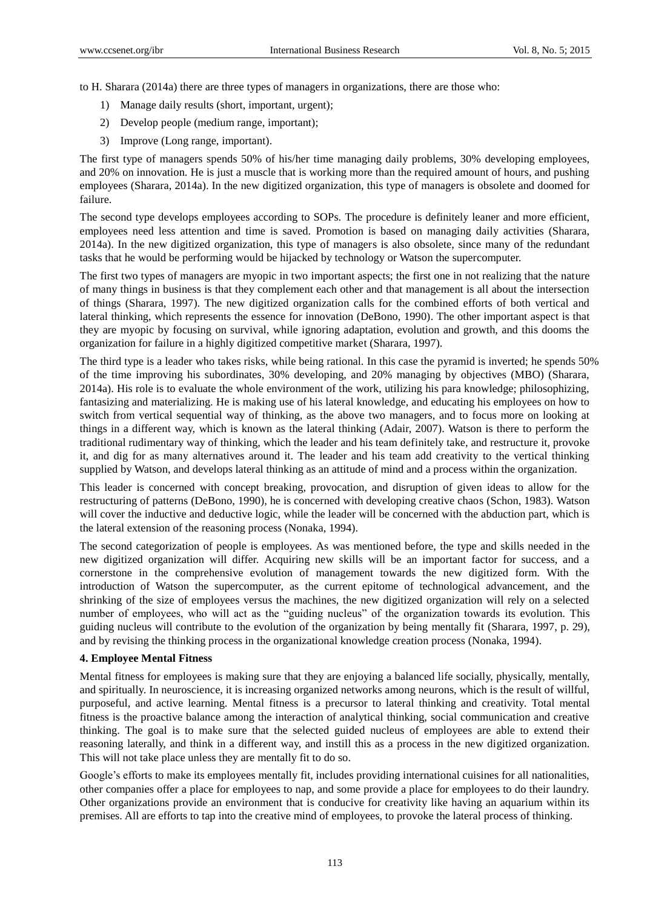to H. Sharara (2014a) there are three types of managers in organizations, there are those who:

- 1) Manage daily results (short, important, urgent);
- 2) Develop people (medium range, important);
- 3) Improve (Long range, important).

The first type of managers spends 50% of his/her time managing daily problems, 30% developing employees, and 20% on innovation. He is just a muscle that is working more than the required amount of hours, and pushing employees (Sharara, 2014a). In the new digitized organization, this type of managers is obsolete and doomed for failure.

The second type develops employees according to SOPs. The procedure is definitely leaner and more efficient, employees need less attention and time is saved. Promotion is based on managing daily activities (Sharara, 2014a). In the new digitized organization, this type of managers is also obsolete, since many of the redundant tasks that he would be performing would be hijacked by technology or Watson the supercomputer.

The first two types of managers are myopic in two important aspects; the first one in not realizing that the nature of many things in business is that they complement each other and that management is all about the intersection of things (Sharara, 1997). The new digitized organization calls for the combined efforts of both vertical and lateral thinking, which represents the essence for innovation (DeBono, 1990). The other important aspect is that they are myopic by focusing on survival, while ignoring adaptation, evolution and growth, and this dooms the organization for failure in a highly digitized competitive market (Sharara, 1997).

The third type is a leader who takes risks, while being rational. In this case the pyramid is inverted; he spends 50% of the time improving his subordinates, 30% developing, and 20% managing by objectives (MBO) (Sharara, 2014a). His role is to evaluate the whole environment of the work, utilizing his para knowledge; philosophizing, fantasizing and materializing. He is making use of his lateral knowledge, and educating his employees on how to switch from vertical sequential way of thinking, as the above two managers, and to focus more on looking at things in a different way, which is known as the lateral thinking (Adair, 2007). Watson is there to perform the traditional rudimentary way of thinking, which the leader and his team definitely take, and restructure it, provoke it, and dig for as many alternatives around it. The leader and his team add creativity to the vertical thinking supplied by Watson, and develops lateral thinking as an attitude of mind and a process within the organization.

This leader is concerned with concept breaking, provocation, and disruption of given ideas to allow for the restructuring of patterns (DeBono, 1990), he is concerned with developing creative chaos (Schon, 1983). Watson will cover the inductive and deductive logic, while the leader will be concerned with the abduction part, which is the lateral extension of the reasoning process (Nonaka, 1994).

The second categorization of people is employees. As was mentioned before, the type and skills needed in the new digitized organization will differ. Acquiring new skills will be an important factor for success, and a cornerstone in the comprehensive evolution of management towards the new digitized form. With the introduction of Watson the supercomputer, as the current epitome of technological advancement, and the shrinking of the size of employees versus the machines, the new digitized organization will rely on a selected number of employees, who will act as the "guiding nucleus" of the organization towards its evolution. This guiding nucleus will contribute to the evolution of the organization by being mentally fit (Sharara, 1997, p. 29), and by revising the thinking process in the organizational knowledge creation process (Nonaka, 1994).

## **4. Employee Mental Fitness**

Mental fitness for employees is making sure that they are enjoying a balanced life socially, physically, mentally, and spiritually. In neuroscience, it is increasing organized networks among neurons, which is the result of willful, purposeful, and active learning. Mental fitness is a precursor to lateral thinking and creativity. Total mental fitness is the proactive balance among the interaction of analytical thinking, social communication and creative thinking. The goal is to make sure that the selected guided nucleus of employees are able to extend their reasoning laterally, and think in a different way, and instill this as a process in the new digitized organization. This will not take place unless they are mentally fit to do so.

Google's efforts to make its employees mentally fit, includes providing international cuisines for all nationalities, other companies offer a place for employees to nap, and some provide a place for employees to do their laundry. Other organizations provide an environment that is conducive for creativity like having an aquarium within its premises. All are efforts to tap into the creative mind of employees, to provoke the lateral process of thinking.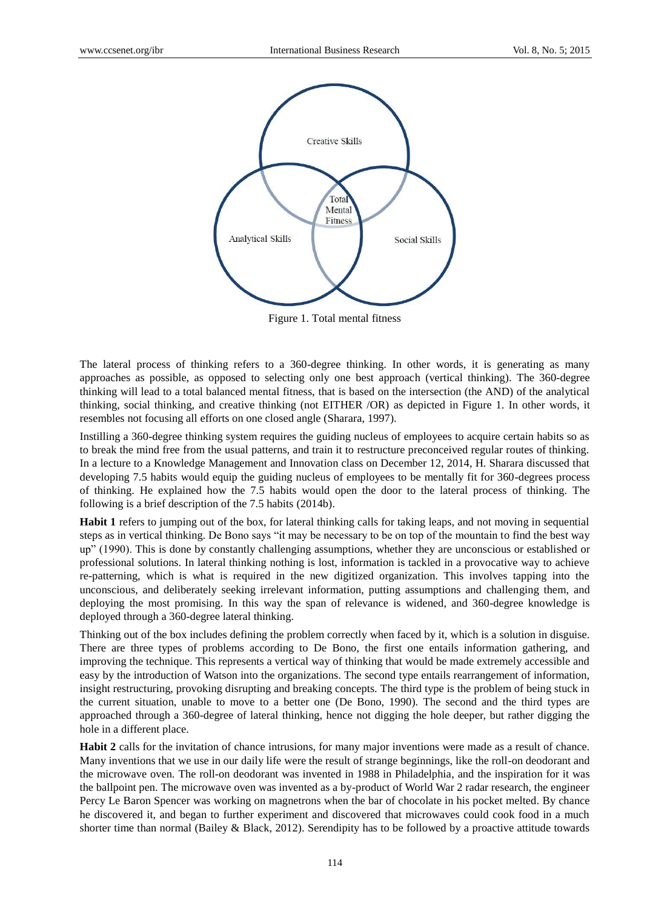

Figure 1. Total mental fitness

The lateral process of thinking refers to a 360-degree thinking. In other words, it is generating as many approaches as possible, as opposed to selecting only one best approach (vertical thinking). The 360-degree thinking will lead to a total balanced mental fitness, that is based on the intersection (the AND) of the analytical thinking, social thinking, and creative thinking (not EITHER /OR) as depicted in Figure 1. In other words, it resembles not focusing all efforts on one closed angle (Sharara, 1997).

Instilling a 360-degree thinking system requires the guiding nucleus of employees to acquire certain habits so as to break the mind free from the usual patterns, and train it to restructure preconceived regular routes of thinking. In a lecture to a Knowledge Management and Innovation class on December 12, 2014, H. Sharara discussed that developing 7.5 habits would equip the guiding nucleus of employees to be mentally fit for 360-degrees process of thinking. He explained how the 7.5 habits would open the door to the lateral process of thinking. The following is a brief description of the 7.5 habits (2014b).

**Habit 1** refers to jumping out of the box, for lateral thinking calls for taking leaps, and not moving in sequential steps as in vertical thinking. De Bono says "it may be necessary to be on top of the mountain to find the best way up" (1990). This is done by constantly challenging assumptions, whether they are unconscious or established or professional solutions. In lateral thinking nothing is lost, information is tackled in a provocative way to achieve re-patterning, which is what is required in the new digitized organization. This involves tapping into the unconscious, and deliberately seeking irrelevant information, putting assumptions and challenging them, and deploying the most promising. In this way the span of relevance is widened, and 360-degree knowledge is deployed through a 360-degree lateral thinking.

Thinking out of the box includes defining the problem correctly when faced by it, which is a solution in disguise. There are three types of problems according to De Bono, the first one entails information gathering, and improving the technique. This represents a vertical way of thinking that would be made extremely accessible and easy by the introduction of Watson into the organizations. The second type entails rearrangement of information, insight restructuring, provoking disrupting and breaking concepts. The third type is the problem of being stuck in the current situation, unable to move to a better one (De Bono, 1990). The second and the third types are approached through a 360-degree of lateral thinking, hence not digging the hole deeper, but rather digging the hole in a different place.

**Habit 2** calls for the invitation of chance intrusions, for many major inventions were made as a result of chance. Many inventions that we use in our daily life were the result of strange beginnings, like the roll-on deodorant and the microwave oven. The roll-on deodorant was invented in 1988 in Philadelphia, and the inspiration for it was the ballpoint pen. The microwave oven was invented as a by-product of World War 2 radar research, the engineer Percy Le Baron Spencer was working on magnetrons when the bar of chocolate in his pocket melted. By chance he discovered it, and began to further experiment and discovered that microwaves could cook food in a much shorter time than normal (Bailey & Black, 2012). Serendipity has to be followed by a proactive attitude towards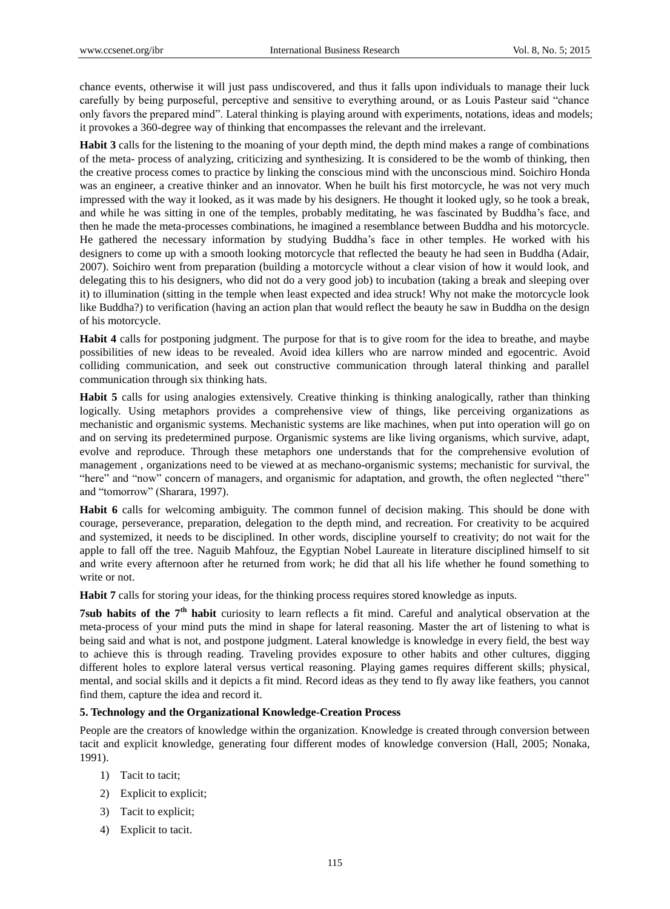chance events, otherwise it will just pass undiscovered, and thus it falls upon individuals to manage their luck carefully by being purposeful, perceptive and sensitive to everything around, or as Louis Pasteur said "chance only favors the prepared mind". Lateral thinking is playing around with experiments, notations, ideas and models; it provokes a 360-degree way of thinking that encompasses the relevant and the irrelevant.

**Habit 3** calls for the listening to the moaning of your depth mind, the depth mind makes a range of combinations of the meta- process of analyzing, criticizing and synthesizing. It is considered to be the womb of thinking, then the creative process comes to practice by linking the conscious mind with the unconscious mind. Soichiro Honda was an engineer, a creative thinker and an innovator. When he built his first motorcycle, he was not very much impressed with the way it looked, as it was made by his designers. He thought it looked ugly, so he took a break, and while he was sitting in one of the temples, probably meditating, he was fascinated by Buddha's face, and then he made the meta-processes combinations, he imagined a resemblance between Buddha and his motorcycle. He gathered the necessary information by studying Buddha's face in other temples. He worked with his designers to come up with a smooth looking motorcycle that reflected the beauty he had seen in Buddha (Adair, 2007). Soichiro went from preparation (building a motorcycle without a clear vision of how it would look, and delegating this to his designers, who did not do a very good job) to incubation (taking a break and sleeping over it) to illumination (sitting in the temple when least expected and idea struck! Why not make the motorcycle look like Buddha?) to verification (having an action plan that would reflect the beauty he saw in Buddha on the design of his motorcycle.

**Habit 4** calls for postponing judgment. The purpose for that is to give room for the idea to breathe, and maybe possibilities of new ideas to be revealed. Avoid idea killers who are narrow minded and egocentric. Avoid colliding communication, and seek out constructive communication through lateral thinking and parallel communication through six thinking hats.

**Habit 5** calls for using analogies extensively. Creative thinking is thinking analogically, rather than thinking logically. Using metaphors provides a comprehensive view of things, like perceiving organizations as mechanistic and organismic systems. Mechanistic systems are like machines, when put into operation will go on and on serving its predetermined purpose. Organismic systems are like living organisms, which survive, adapt, evolve and reproduce. Through these metaphors one understands that for the comprehensive evolution of management , organizations need to be viewed at as mechano-organismic systems; mechanistic for survival, the "here" and "now" concern of managers, and organismic for adaptation, and growth, the often neglected "there" and "tomorrow" (Sharara, 1997).

**Habit 6** calls for welcoming ambiguity. The common funnel of decision making. This should be done with courage, perseverance, preparation, delegation to the depth mind, and recreation. For creativity to be acquired and systemized, it needs to be disciplined. In other words, discipline yourself to creativity; do not wait for the apple to fall off the tree. Naguib Mahfouz, the Egyptian Nobel Laureate in literature disciplined himself to sit and write every afternoon after he returned from work; he did that all his life whether he found something to write or not.

**Habit 7** calls for storing your ideas, for the thinking process requires stored knowledge as inputs.

**7sub habits of the 7th habit** curiosity to learn reflects a fit mind. Careful and analytical observation at the meta-process of your mind puts the mind in shape for lateral reasoning. Master the art of listening to what is being said and what is not, and postpone judgment. Lateral knowledge is knowledge in every field, the best way to achieve this is through reading. Traveling provides exposure to other habits and other cultures, digging different holes to explore lateral versus vertical reasoning. Playing games requires different skills; physical, mental, and social skills and it depicts a fit mind. Record ideas as they tend to fly away like feathers, you cannot find them, capture the idea and record it.

## **5. Technology and the Organizational Knowledge-Creation Process**

People are the creators of knowledge within the organization. Knowledge is created through conversion between tacit and explicit knowledge, generating four different modes of knowledge conversion (Hall, 2005; Nonaka, 1991).

- 1) Tacit to tacit;
- 2) Explicit to explicit;
- 3) Tacit to explicit;
- 4) Explicit to tacit.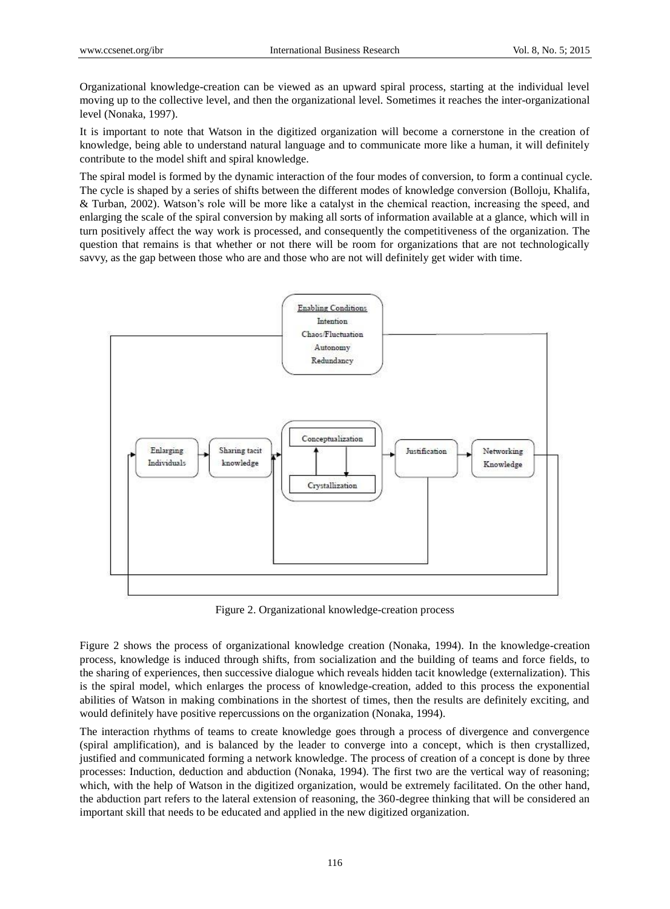Organizational knowledge-creation can be viewed as an upward spiral process, starting at the individual level moving up to the collective level, and then the organizational level. Sometimes it reaches the inter-organizational level (Nonaka, 1997).

It is important to note that Watson in the digitized organization will become a cornerstone in the creation of knowledge, being able to understand natural language and to communicate more like a human, it will definitely contribute to the model shift and spiral knowledge.

The spiral model is formed by the dynamic interaction of the four modes of conversion, to form a continual cycle. The cycle is shaped by a series of shifts between the different modes of knowledge conversion (Bolloju, Khalifa, & Turban, 2002). Watson's role will be more like a catalyst in the chemical reaction, increasing the speed, and enlarging the scale of the spiral conversion by making all sorts of information available at a glance, which will in turn positively affect the way work is processed, and consequently the competitiveness of the organization. The question that remains is that whether or not there will be room for organizations that are not technologically savvy, as the gap between those who are and those who are not will definitely get wider with time.



Figure 2. Organizational knowledge-creation process

Figure 2 shows the process of organizational knowledge creation (Nonaka, 1994). In the knowledge-creation process, knowledge is induced through shifts, from socialization and the building of teams and force fields, to the sharing of experiences, then successive dialogue which reveals hidden tacit knowledge (externalization). This is the spiral model, which enlarges the process of knowledge-creation, added to this process the exponential abilities of Watson in making combinations in the shortest of times, then the results are definitely exciting, and would definitely have positive repercussions on the organization (Nonaka, 1994).

The interaction rhythms of teams to create knowledge goes through a process of divergence and convergence (spiral amplification), and is balanced by the leader to converge into a concept, which is then crystallized, justified and communicated forming a network knowledge. The process of creation of a concept is done by three processes: Induction, deduction and abduction (Nonaka, 1994). The first two are the vertical way of reasoning; which, with the help of Watson in the digitized organization, would be extremely facilitated. On the other hand, the abduction part refers to the lateral extension of reasoning, the 360-degree thinking that will be considered an important skill that needs to be educated and applied in the new digitized organization.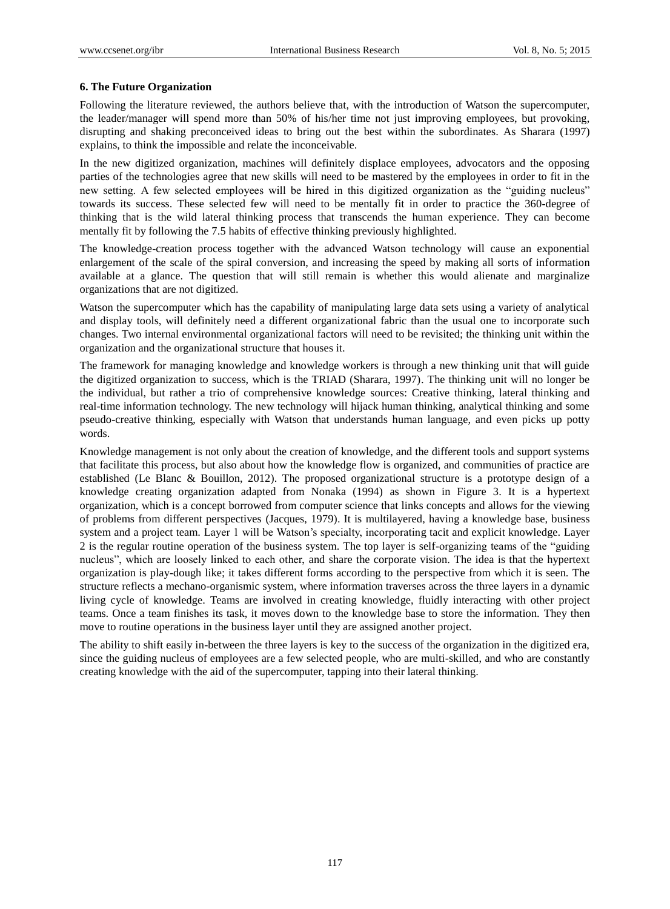#### **6. The Future Organization**

Following the literature reviewed, the authors believe that, with the introduction of Watson the supercomputer, the leader/manager will spend more than 50% of his/her time not just improving employees, but provoking, disrupting and shaking preconceived ideas to bring out the best within the subordinates. As Sharara (1997) explains, to think the impossible and relate the inconceivable.

In the new digitized organization, machines will definitely displace employees, advocators and the opposing parties of the technologies agree that new skills will need to be mastered by the employees in order to fit in the new setting. A few selected employees will be hired in this digitized organization as the "guiding nucleus" towards its success. These selected few will need to be mentally fit in order to practice the 360-degree of thinking that is the wild lateral thinking process that transcends the human experience. They can become mentally fit by following the 7.5 habits of effective thinking previously highlighted.

The knowledge-creation process together with the advanced Watson technology will cause an exponential enlargement of the scale of the spiral conversion, and increasing the speed by making all sorts of information available at a glance. The question that will still remain is whether this would alienate and marginalize organizations that are not digitized.

Watson the supercomputer which has the capability of manipulating large data sets using a variety of analytical and display tools, will definitely need a different organizational fabric than the usual one to incorporate such changes. Two internal environmental organizational factors will need to be revisited; the thinking unit within the organization and the organizational structure that houses it.

The framework for managing knowledge and knowledge workers is through a new thinking unit that will guide the digitized organization to success, which is the TRIAD (Sharara, 1997). The thinking unit will no longer be the individual, but rather a trio of comprehensive knowledge sources: Creative thinking, lateral thinking and real-time information technology. The new technology will hijack human thinking, analytical thinking and some pseudo-creative thinking, especially with Watson that understands human language, and even picks up potty words.

Knowledge management is not only about the creation of knowledge, and the different tools and support systems that facilitate this process, but also about how the knowledge flow is organized, and communities of practice are established (Le Blanc & Bouillon, 2012). The proposed organizational structure is a prototype design of a knowledge creating organization adapted from Nonaka (1994) as shown in Figure 3. It is a hypertext organization, which is a concept borrowed from computer science that links concepts and allows for the viewing of problems from different perspectives (Jacques, 1979). It is multilayered, having a knowledge base, business system and a project team. Layer 1 will be Watson's specialty, incorporating tacit and explicit knowledge. Layer 2 is the regular routine operation of the business system. The top layer is self-organizing teams of the "guiding nucleus", which are loosely linked to each other, and share the corporate vision. The idea is that the hypertext organization is play-dough like; it takes different forms according to the perspective from which it is seen. The structure reflects a mechano-organismic system, where information traverses across the three layers in a dynamic living cycle of knowledge. Teams are involved in creating knowledge, fluidly interacting with other project teams. Once a team finishes its task, it moves down to the knowledge base to store the information. They then move to routine operations in the business layer until they are assigned another project.

The ability to shift easily in-between the three layers is key to the success of the organization in the digitized era, since the guiding nucleus of employees are a few selected people, who are multi-skilled, and who are constantly creating knowledge with the aid of the supercomputer, tapping into their lateral thinking.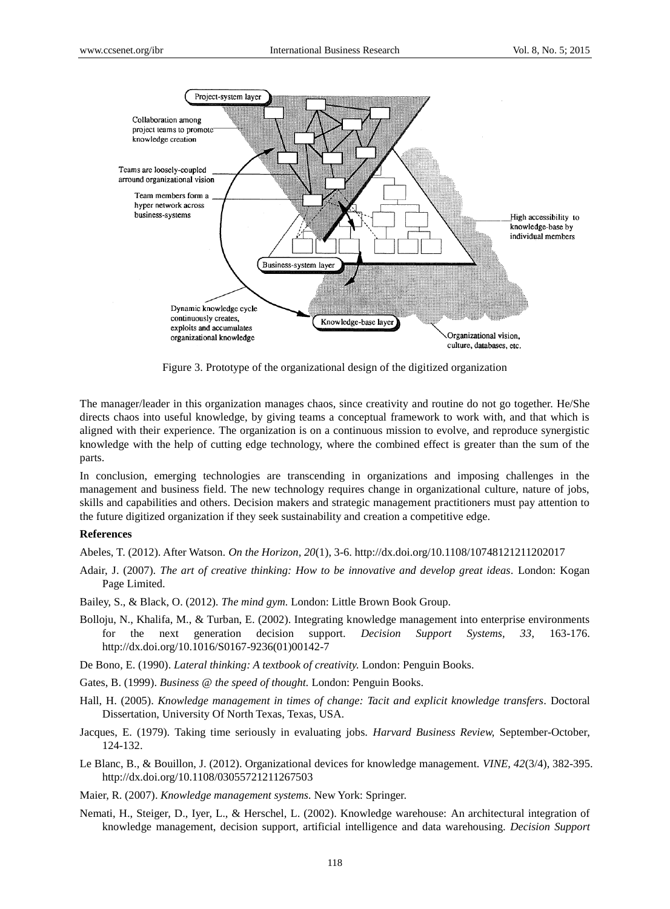

Figure 3. Prototype of the organizational design of the digitized organization

The manager/leader in this organization manages chaos, since creativity and routine do not go together. He/She directs chaos into useful knowledge, by giving teams a conceptual framework to work with, and that which is aligned with their experience. The organization is on a continuous mission to evolve, and reproduce synergistic knowledge with the help of cutting edge technology, where the combined effect is greater than the sum of the parts.

In conclusion, emerging technologies are transcending in organizations and imposing challenges in the management and business field. The new technology requires change in organizational culture, nature of jobs, skills and capabilities and others. Decision makers and strategic management practitioners must pay attention to the future digitized organization if they seek sustainability and creation a competitive edge.

## **References**

Abeles, T. (2012). After Watson. *On the Horizon, 20*(1), 3-6. http://dx.doi.org/10.1108/10748121211202017

- Adair, J. (2007). *The art of creative thinking: How to be innovative and develop great ideas.* London: Kogan Page Limited.
- Bailey, S., & Black, O. (2012). *The mind gym.* London: Little Brown Book Group.
- Bolloju, N., Khalifa, M., & Turban, E. (2002). Integrating knowledge management into enterprise environments for the next generation decision support. *Decision Support Systems, 33*, 163-176. http://dx.doi.org/10.1016/S0167-9236(01)00142-7
- De Bono, E. (1990). *Lateral thinking: A textbook of creativity.* London: Penguin Books.
- Gates, B. (1999). *Business @ the speed of thought.* London: Penguin Books.
- Hall, H. (2005). *Knowledge management in times of change: Tacit and explicit knowledge transfers.* Doctoral Dissertation, University Of North Texas, Texas, USA.
- Jacques, E. (1979). Taking time seriously in evaluating jobs. *Harvard Business Review,* September-October, 124-132.
- Le Blanc, B., & Bouillon, J. (2012). Organizational devices for knowledge management. *VINE, 42*(3/4), 382-395. http://dx.doi.org/10.1108/03055721211267503
- Maier, R. (2007). *Knowledge management systems.* New York: Springer.
- Nemati, H., Steiger, D., Iyer, L., & Herschel, L. (2002). Knowledge warehouse: An architectural integration of knowledge management, decision support, artificial intelligence and data warehousing. *Decision Support*